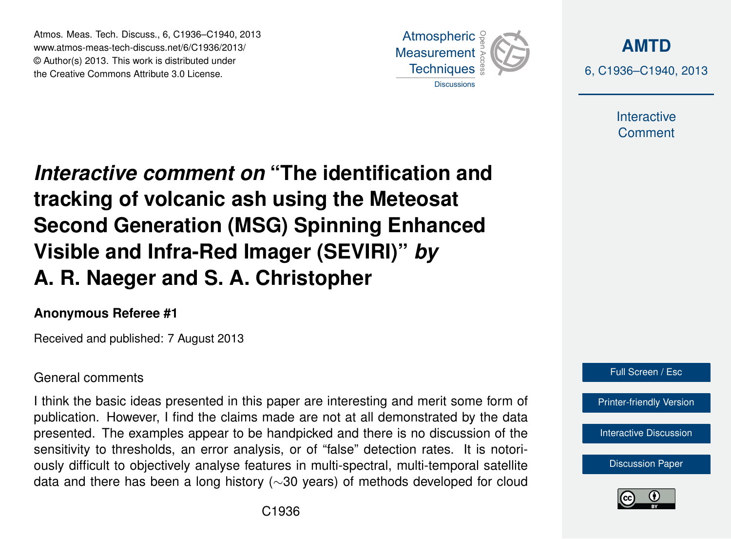Atmos. Meas. Tech. Discuss., 6, C1936–C1940, 2013 www.atmos-meas-tech-discuss.net/6/C1936/2013/ www.atmos-meas-tech-discuss.net/o/C1936/2013/<br>© Author(s) 2013. This work is distributed under the Creative Commons Attribute 3.0 License.



**[AMTD](http://www.atmos-meas-tech-discuss.net)** 6, C1936–C1940, 2013

> Interactive **Comment**

Interactive comment on "The identification and of the Indian of the Past of the Past of the Past of the Past of the Past of the Past of the Past of the Past o Open Access  $\overline{\phantom{a}}$ tracking of volcanic ash using the Meteosat  $\overline{E}$  Deal line Visible and Infra-Red Imager (SEVIRI)" *by* Open Access  $\overline{a}$ **Second Generation (MSG) Spinning Enhanced A. R. Naeger and S. A. Christopher**

### **Anonymous Referee #1**

Received and published: 7 August 2013

## General comments

I think the basic ideas presented in this paper are interesting and merit some form of p e<br>B presented. The examples appear to be handpicked and there is no discussion of the sensitivity to thresholds, an error analysis, or of "false" detection rates. It is notoriously difficult to objectively analyse features in multi-spectral, multi-temporal satellite h<br>si<br>u اد<br>ا data and there has been a long history (∼30 years) of methods developed for cloud publication. However, I find the claims made are not at all demonstrated by the data



[Interactive Discussion](http://www.atmos-meas-tech-discuss.net/6/5577/2013/amtd-6-5577-2013-discussion.html)

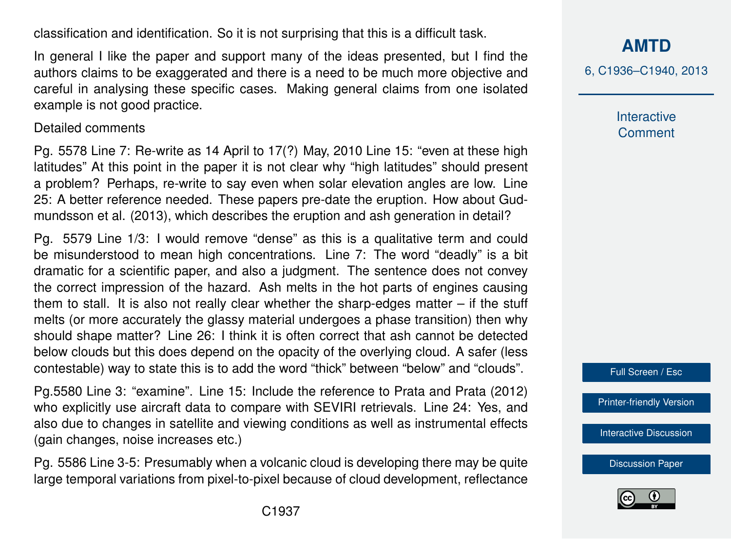classification and identification. So it is not surprising that this is a difficult task.

In general I like the paper and support many of the ideas presented, but I find the authors claims to be exaggerated and there is a need to be much more objective and careful in analysing these specific cases. Making general claims from one isolated example is not good practice.

#### Detailed comments

Pg. 5578 Line 7: Re-write as 14 April to 17(?) May, 2010 Line 15: "even at these high latitudes" At this point in the paper it is not clear why "high latitudes" should present a problem? Perhaps, re-write to say even when solar elevation angles are low. Line 25: A better reference needed. These papers pre-date the eruption. How about Gudmundsson et al. (2013), which describes the eruption and ash generation in detail?

Pg. 5579 Line 1/3: I would remove "dense" as this is a qualitative term and could be misunderstood to mean high concentrations. Line 7: The word "deadly" is a bit dramatic for a scientific paper, and also a judgment. The sentence does not convey the correct impression of the hazard. Ash melts in the hot parts of engines causing them to stall. It is also not really clear whether the sharp-edges matter – if the stuff melts (or more accurately the glassy material undergoes a phase transition) then why should shape matter? Line 26: I think it is often correct that ash cannot be detected below clouds but this does depend on the opacity of the overlying cloud. A safer (less contestable) way to state this is to add the word "thick" between "below" and "clouds".

Pg.5580 Line 3: "examine". Line 15: Include the reference to Prata and Prata (2012) who explicitly use aircraft data to compare with SEVIRI retrievals. Line 24: Yes, and also due to changes in satellite and viewing conditions as well as instrumental effects (gain changes, noise increases etc.)

Pg. 5586 Line 3-5: Presumably when a volcanic cloud is developing there may be quite large temporal variations from pixel-to-pixel because of cloud development, reflectance **[AMTD](http://www.atmos-meas-tech-discuss.net)**

6, C1936–C1940, 2013

Interactive **Comment** 



[Printer-friendly Version](http://www.atmos-meas-tech-discuss.net/6/C1936/2013/amtd-6-C1936-2013-print.pdf)

[Interactive Discussion](http://www.atmos-meas-tech-discuss.net/6/5577/2013/amtd-6-5577-2013-discussion.html)

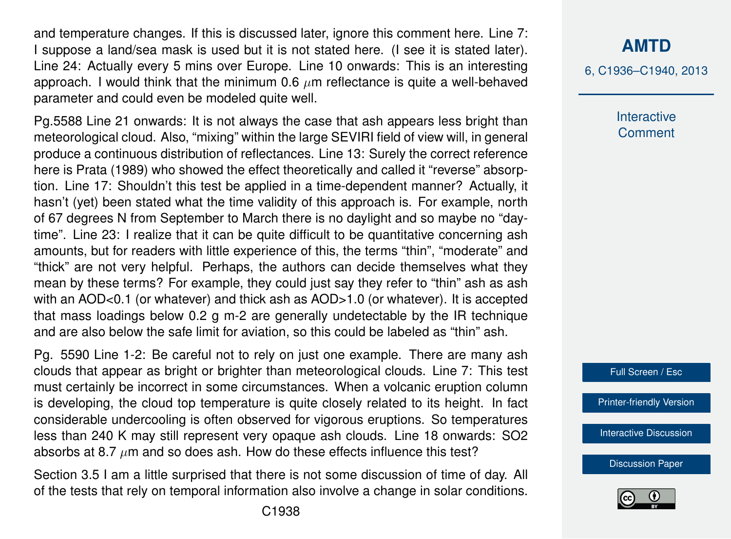and temperature changes. If this is discussed later, ignore this comment here. Line 7: I suppose a land/sea mask is used but it is not stated here. (I see it is stated later). Line 24: Actually every 5 mins over Europe. Line 10 onwards: This is an interesting approach. I would think that the minimum 0.6  $\mu$ m reflectance is quite a well-behaved parameter and could even be modeled quite well.

Pg.5588 Line 21 onwards: It is not always the case that ash appears less bright than meteorological cloud. Also, "mixing" within the large SEVIRI field of view will, in general produce a continuous distribution of reflectances. Line 13: Surely the correct reference here is Prata (1989) who showed the effect theoretically and called it "reverse" absorption. Line 17: Shouldn't this test be applied in a time-dependent manner? Actually, it hasn't (yet) been stated what the time validity of this approach is. For example, north of 67 degrees N from September to March there is no daylight and so maybe no "daytime". Line 23: I realize that it can be quite difficult to be quantitative concerning ash amounts, but for readers with little experience of this, the terms "thin", "moderate" and "thick" are not very helpful. Perhaps, the authors can decide themselves what they mean by these terms? For example, they could just say they refer to "thin" ash as ash with an AOD<0.1 (or whatever) and thick ash as AOD>1.0 (or whatever). It is accepted that mass loadings below 0.2 g m-2 are generally undetectable by the IR technique and are also below the safe limit for aviation, so this could be labeled as "thin" ash.

Pg. 5590 Line 1-2: Be careful not to rely on just one example. There are many ash clouds that appear as bright or brighter than meteorological clouds. Line 7: This test must certainly be incorrect in some circumstances. When a volcanic eruption column is developing, the cloud top temperature is quite closely related to its height. In fact considerable undercooling is often observed for vigorous eruptions. So temperatures less than 240 K may still represent very opaque ash clouds. Line 18 onwards: SO2 absorbs at 8.7  $\mu$ m and so does ash. How do these effects influence this test?

Section 3.5 I am a little surprised that there is not some discussion of time of day. All of the tests that rely on temporal information also involve a change in solar conditions.

## **[AMTD](http://www.atmos-meas-tech-discuss.net)**

6, C1936–C1940, 2013

**Interactive Comment** 



[Printer-friendly Version](http://www.atmos-meas-tech-discuss.net/6/C1936/2013/amtd-6-C1936-2013-print.pdf)

[Interactive Discussion](http://www.atmos-meas-tech-discuss.net/6/5577/2013/amtd-6-5577-2013-discussion.html)

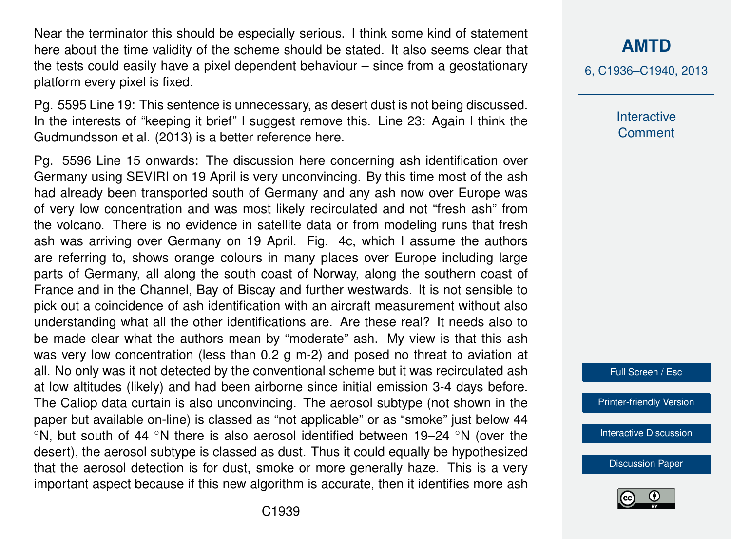Near the terminator this should be especially serious. I think some kind of statement here about the time validity of the scheme should be stated. It also seems clear that the tests could easily have a pixel dependent behaviour – since from a geostationary platform every pixel is fixed.

Pg. 5595 Line 19: This sentence is unnecessary, as desert dust is not being discussed. In the interests of "keeping it brief" I suggest remove this. Line 23: Again I think the Gudmundsson et al. (2013) is a better reference here.

Pg. 5596 Line 15 onwards: The discussion here concerning ash identification over Germany using SEVIRI on 19 April is very unconvincing. By this time most of the ash had already been transported south of Germany and any ash now over Europe was of very low concentration and was most likely recirculated and not "fresh ash" from the volcano. There is no evidence in satellite data or from modeling runs that fresh ash was arriving over Germany on 19 April. Fig. 4c, which I assume the authors are referring to, shows orange colours in many places over Europe including large parts of Germany, all along the south coast of Norway, along the southern coast of France and in the Channel, Bay of Biscay and further westwards. It is not sensible to pick out a coincidence of ash identification with an aircraft measurement without also understanding what all the other identifications are. Are these real? It needs also to be made clear what the authors mean by "moderate" ash. My view is that this ash was very low concentration (less than 0.2 g m-2) and posed no threat to aviation at all. No only was it not detected by the conventional scheme but it was recirculated ash at low altitudes (likely) and had been airborne since initial emission 3-4 days before. The Caliop data curtain is also unconvincing. The aerosol subtype (not shown in the paper but available on-line) is classed as "not applicable" or as "smoke" just below 44 ◦N, but south of 44 ◦N there is also aerosol identified between 19–24 ◦N (over the desert), the aerosol subtype is classed as dust. Thus it could equally be hypothesized that the aerosol detection is for dust, smoke or more generally haze. This is a very important aspect because if this new algorithm is accurate, then it identifies more ash

# **[AMTD](http://www.atmos-meas-tech-discuss.net)**

6, C1936–C1940, 2013

**Interactive Comment** 

Full Screen / Esc

[Printer-friendly Version](http://www.atmos-meas-tech-discuss.net/6/C1936/2013/amtd-6-C1936-2013-print.pdf)

[Interactive Discussion](http://www.atmos-meas-tech-discuss.net/6/5577/2013/amtd-6-5577-2013-discussion.html)